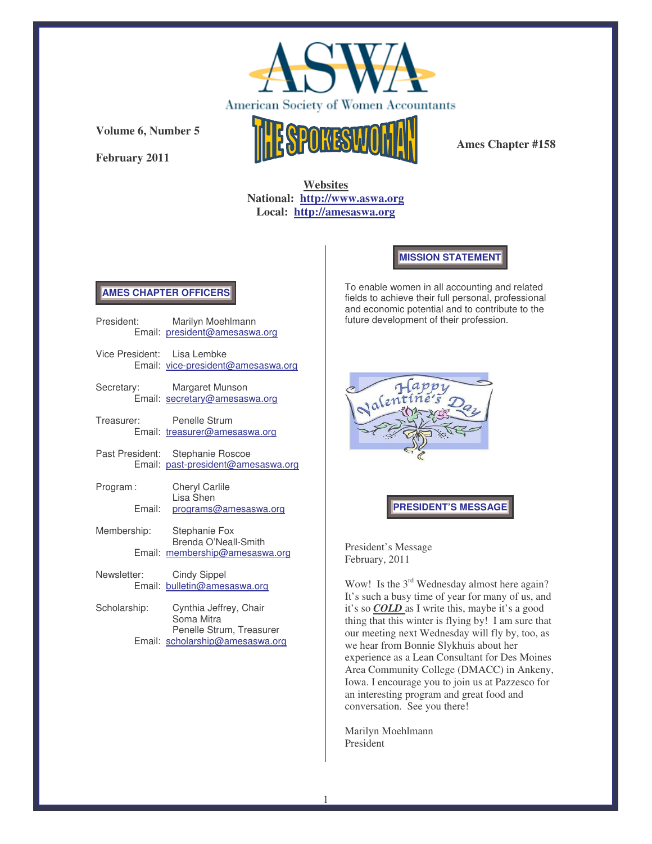

**February 2011**



**Ames Chapter #158**

**Websites National: http://www.aswa.org Local: http://amesaswa.org**

**MISSION STATEMENT**

# **AMES CHAPTER OFFICERS**

|                             | President: Marilyn Moehlmann<br>Email: president@amesaswa.org          |
|-----------------------------|------------------------------------------------------------------------|
| Vice President: Lisa Lembke | Email: vice-president@amesaswa.org                                     |
|                             | Secretary: Margaret Munson<br>Email: secretary@amesaswa.org            |
|                             | Treasurer: Penelle Strum<br>Email: treasurer@amesaswa.org              |
|                             | Past President: Stephanie Roscoe<br>Email: past-president@amesaswa.org |
| Program:                    | <b>Cheryl Carlile</b><br>Lisa Shen                                     |
| Email:                      | programs@amesaswa.org                                                  |
|                             | Membership: Stephanie Fox<br>Brenda O'Neall-Smith                      |
|                             | Email: membership@amesaswa.org                                         |
| Newsletter: Cindy Sippel    | Email: bulletin@amesaswa.org                                           |
| Scholarship:                | Cynthia Jeffrey, Chair<br>Soma Mitra<br>Penelle Strum, Treasurer       |
|                             | Email: scholarship@amesaswa.org                                        |

To enable women in all accounting and related fields to achieve their full personal, professional and economic potential and to contribute to the future development of their profession.



# **PRESIDENT'S MESSAGE**

President's Message February, 2011

Wow! Is the 3<sup>rd</sup> Wednesday almost here again? It's such a busy time of year for many of us, and it's so *COLD* as I write this, maybe it's a good thing that this winter is flying by! I am sure that our meeting next Wednesday will fly by, too, as we hear from Bonnie Slykhuis about her experience as a Lean Consultant for Des Moines Area Community College (DMACC) in Ankeny, Iowa. I encourage you to join us at Pazzesco for an interesting program and great food and conversation. See you there!

Marilyn Moehlmann President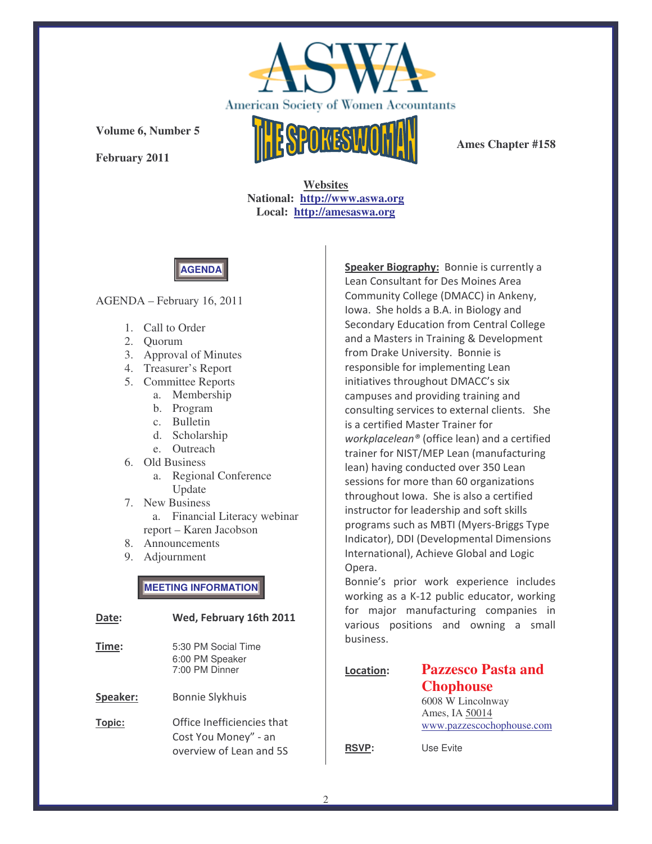

**February 2011**



**Ames Chapter #158**

**Websites National: http://www.aswa.org Local: http://amesaswa.org**

**AGENDA**

### AGENDA – February 16, 2011

- 1. Call to Order
- 2. Quorum
- 3. Approval of Minutes
- 4. Treasurer's Report
- 5. Committee Reports
	- a. Membership
	- b. Program
	- c. Bulletin
	- d. Scholarship
	- e. Outreach
- 6. Old Business
	- a. Regional Conference Update
- 7. New Business a. Financial Literacy webinar report – Karen Jacobson
- 8. Announcements
- 9. Adjournment

**MEETING INFORMATION**

| Date:    | Wed, February 16th 2011                                                       |
|----------|-------------------------------------------------------------------------------|
| Time:    | 5:30 PM Social Time<br>6:00 PM Speaker<br>7:00 PM Dinner                      |
| Speaker: | <b>Bonnie Slykhuis</b>                                                        |
| Topic:   | Office Inefficiencies that<br>Cost You Money" - an<br>overview of Lean and 5S |

Speaker Biography: Bonnie is currently a Lean Consultant for Des Moines Area Community College (DMACC) in Ankeny, lowa. She holds a B.A. in Biology and Secondary Education from Central College and a Masters in Training & Development from Drake University. Bonnie is responsible for implementing Lean initiatives throughout DMACC's six campuses and providing training and consulting services to external clients. She is a certified Master Trainer for workplacelean® (office lean) and a certified trainer for NIST/MEP Lean (manufacturing lean) having conducted over 350 Lean sessions for more than 60 organizations throughout Iowa. She is also a certified instructor for leadership and soft skills programs such as MBTI (Myers-Briggs Type Indicator), DDI (Developmental Dimensions International), Achieve Global and Logic Opera.

Bonnie's prior work experience includes working as a K-12 public educator, working for major manufacturing companies in various positions and owning a small business.

| Location:    | <b>Pazzesco Pasta and</b> |
|--------------|---------------------------|
|              | <b>Chophouse</b>          |
|              | 6008 W Lincolnway         |
|              | Ames, IA 50014            |
|              | www.pazzescochophouse.com |
| <b>RSVP:</b> | Use Evite                 |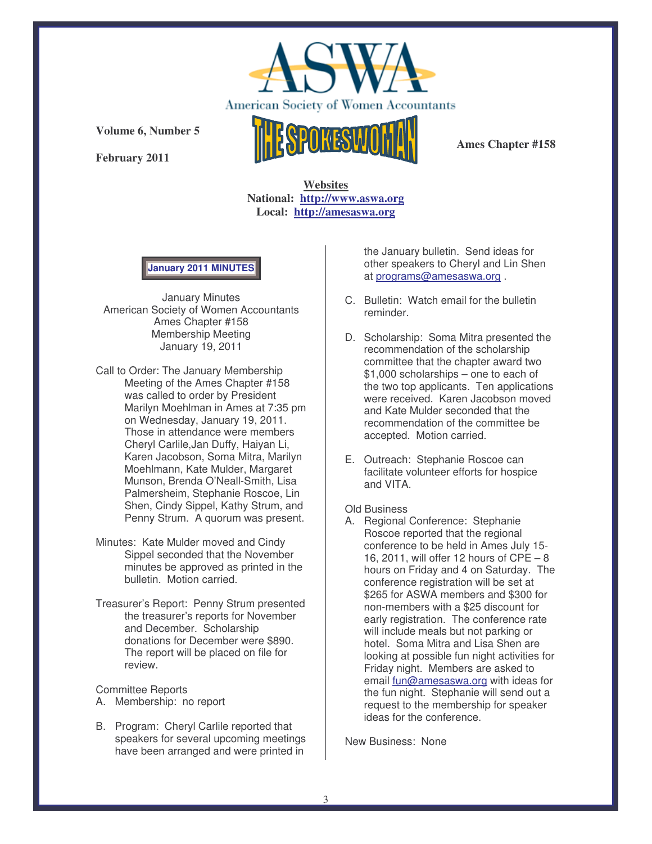

**February 2011**



**Ames Chapter #158**

**Websites National: http://www.aswa.org Local: http://amesaswa.org**

**January 2011 MINUTES**

January Minutes American Society of Women Accountants Ames Chapter #158 Membership Meeting January 19, 2011

- Call to Order: The January Membership Meeting of the Ames Chapter #158 was called to order by President Marilyn Moehlman in Ames at 7:35 pm on Wednesday, January 19, 2011. Those in attendance were members Cheryl Carlile,Jan Duffy, Haiyan Li, Karen Jacobson, Soma Mitra, Marilyn Moehlmann, Kate Mulder, Margaret Munson, Brenda O'Neall-Smith, Lisa Palmersheim, Stephanie Roscoe, Lin Shen, Cindy Sippel, Kathy Strum, and Penny Strum. A quorum was present.
- Minutes: Kate Mulder moved and Cindy Sippel seconded that the November minutes be approved as printed in the bulletin. Motion carried.
- Treasurer's Report: Penny Strum presented the treasurer's reports for November and December. Scholarship donations for December were \$890. The report will be placed on file for review.

Committee Reports

- A. Membership: no report
- B. Program: Cheryl Carlile reported that speakers for several upcoming meetings have been arranged and were printed in

the January bulletin. Send ideas for other speakers to Cheryl and Lin Shen at programs@amesaswa.org .

- C. Bulletin: Watch email for the bulletin reminder.
- D. Scholarship: Soma Mitra presented the recommendation of the scholarship committee that the chapter award two \$1,000 scholarships – one to each of the two top applicants. Ten applications were received. Karen Jacobson moved and Kate Mulder seconded that the recommendation of the committee be accepted. Motion carried.
- E. Outreach: Stephanie Roscoe can facilitate volunteer efforts for hospice and VITA.

Old Business

A. Regional Conference: Stephanie Roscoe reported that the regional conference to be held in Ames July 15- 16, 2011, will offer 12 hours of CPE – 8 hours on Friday and 4 on Saturday. The conference registration will be set at \$265 for ASWA members and \$300 for non-members with a \$25 discount for early registration. The conference rate will include meals but not parking or hotel. Soma Mitra and Lisa Shen are looking at possible fun night activities for Friday night. Members are asked to email fun@amesaswa.org with ideas for the fun night. Stephanie will send out a request to the membership for speaker ideas for the conference.

New Business: None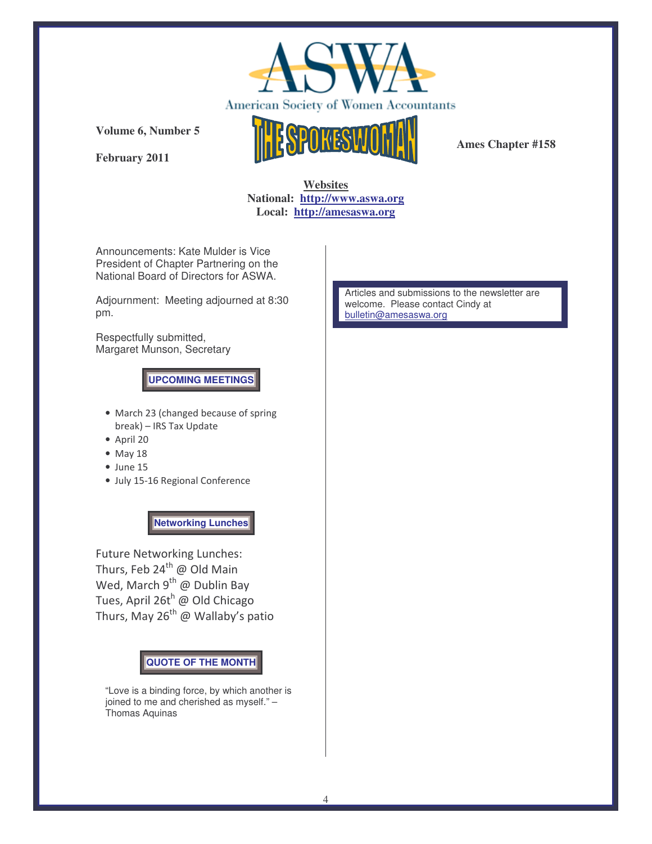

**February 2011**



**Ames Chapter #158**

# **Websites National: http://www.aswa.org Local: http://amesaswa.org**

Announcements: Kate Mulder is Vice President of Chapter Partnering on the National Board of Directors for ASWA.

Adjournment: Meeting adjourned at 8:30 pm.

Respectfully submitted, Margaret Munson, Secretary

**UPCOMING MEETINGS**

- March 23 (changed because of spring break) - IRS Tax Update
- $•$  April 20
- $\bullet$  May 18
- $\bullet$  June 15
- July 15-16 Regional Conference

**Networking Lunches**

Future Networking Lunches: Thurs, Feb 24<sup>th</sup> @ Old Main Wed, March 9<sup>th</sup> @ Dublin Bay Tues, April 26t<sup>h</sup> @ Old Chicago Thurs, May 26<sup>th</sup> @ Wallaby's patio

**QUOTE OF THE MONTH**

"Love is a binding force, by which another is joined to me and cherished as myself." – Thomas Aquinas

Articles and submissions to the newsletter are welcome. Please contact Cindy at bulletin@amesaswa.org